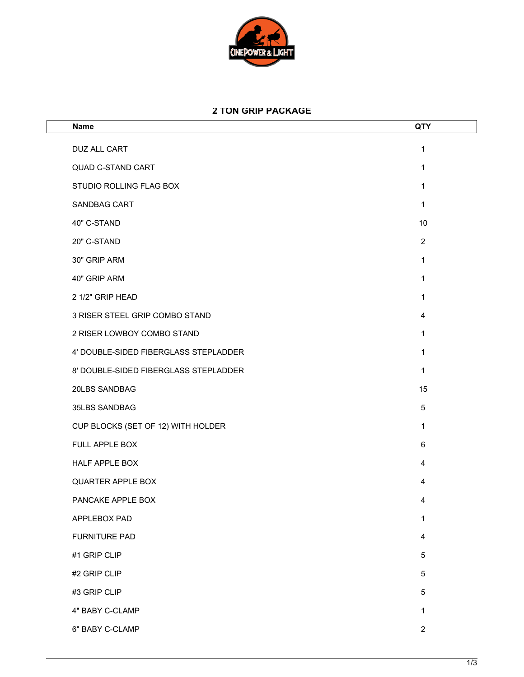

## **2 TON GRIP PACKAGE**

| <b>Name</b>                           | QTY            |
|---------------------------------------|----------------|
| DUZ ALL CART                          | 1              |
| <b>QUAD C-STAND CART</b>              | 1              |
| STUDIO ROLLING FLAG BOX               | 1              |
| <b>SANDBAG CART</b>                   | 1              |
| 40" C-STAND                           | 10             |
| 20" C-STAND                           | $\overline{2}$ |
| 30" GRIP ARM                          | 1              |
| 40" GRIP ARM                          | 1              |
| 2 1/2" GRIP HEAD                      | 1              |
| 3 RISER STEEL GRIP COMBO STAND        | 4              |
| 2 RISER LOWBOY COMBO STAND            | 1              |
| 4' DOUBLE-SIDED FIBERGLASS STEPLADDER | 1              |
| 8' DOUBLE-SIDED FIBERGLASS STEPLADDER | 1              |
| 20LBS SANDBAG                         | 15             |
| 35LBS SANDBAG                         | 5              |
| CUP BLOCKS (SET OF 12) WITH HOLDER    | 1              |
| FULL APPLE BOX                        | 6              |
| HALF APPLE BOX                        | 4              |
| <b>QUARTER APPLE BOX</b>              | 4              |
| PANCAKE APPLE BOX                     | 4              |
| APPLEBOX PAD                          | 1              |
| <b>FURNITURE PAD</b>                  | 4              |
| #1 GRIP CLIP                          | 5              |
| #2 GRIP CLIP                          | 5              |
| #3 GRIP CLIP                          | 5              |
| 4" BABY C-CLAMP                       | 1              |
| 6" BABY C-CLAMP                       | $\overline{2}$ |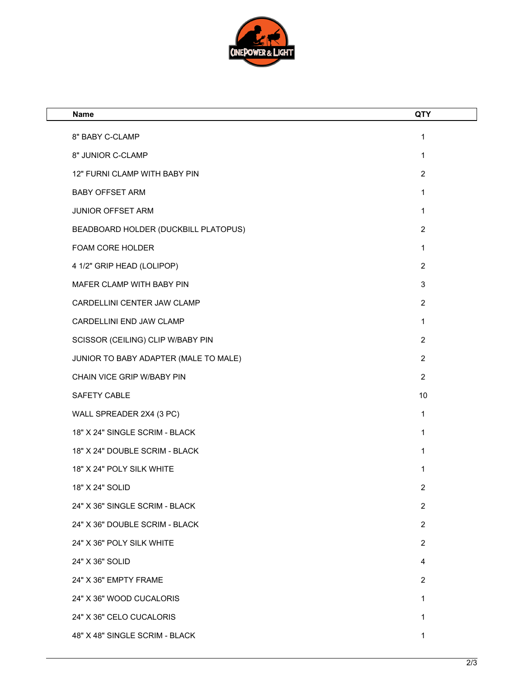

| <b>Name</b>                           | <b>QTY</b>     |
|---------------------------------------|----------------|
| 8" BABY C-CLAMP                       | 1              |
| 8" JUNIOR C-CLAMP                     | $\mathbf{1}$   |
| 12" FURNI CLAMP WITH BABY PIN         | $\overline{2}$ |
| <b>BABY OFFSET ARM</b>                | 1              |
| JUNIOR OFFSET ARM                     | 1              |
| BEADBOARD HOLDER (DUCKBILL PLATOPUS)  | $\overline{2}$ |
| FOAM CORE HOLDER                      | $\mathbf{1}$   |
| 4 1/2" GRIP HEAD (LOLIPOP)            | $\overline{2}$ |
| MAFER CLAMP WITH BABY PIN             | 3              |
| CARDELLINI CENTER JAW CLAMP           | $\overline{2}$ |
| CARDELLINI END JAW CLAMP              | 1              |
| SCISSOR (CEILING) CLIP W/BABY PIN     | $\overline{2}$ |
| JUNIOR TO BABY ADAPTER (MALE TO MALE) | $\overline{2}$ |
| CHAIN VICE GRIP W/BABY PIN            | $\overline{2}$ |
| SAFETY CABLE                          | 10             |
| WALL SPREADER 2X4 (3 PC)              | 1              |
| 18" X 24" SINGLE SCRIM - BLACK        | 1              |
| 18" X 24" DOUBLE SCRIM - BLACK        | 1              |
| 18" X 24" POLY SILK WHITE             | 1              |
| 18" X 24" SOLID                       | 2              |
| 24" X 36" SINGLE SCRIM - BLACK        | $\overline{2}$ |
| 24" X 36" DOUBLE SCRIM - BLACK        | $\overline{2}$ |
| 24" X 36" POLY SILK WHITE             | $\overline{2}$ |
| 24" X 36" SOLID                       | 4              |
| 24" X 36" EMPTY FRAME                 | $\overline{2}$ |
| 24" X 36" WOOD CUCALORIS              | 1              |
| 24" X 36" CELO CUCALORIS              | 1              |
| 48" X 48" SINGLE SCRIM - BLACK        | 1              |